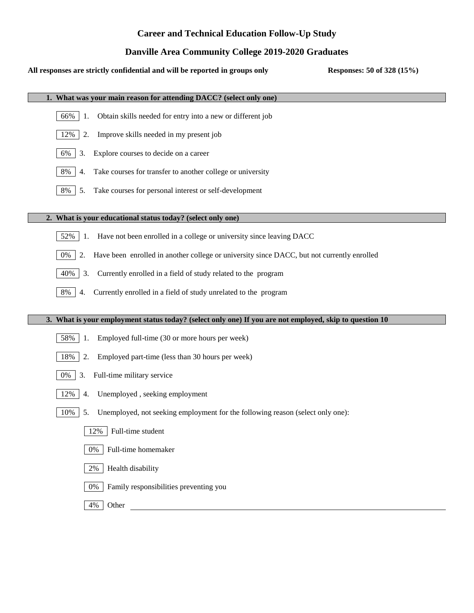# **Career and Technical Education Follow-Up Study**

## **Danville Area Community College 2019-2020 Graduates**

| Danvine Area Community Conege 2017-2020 Graduates                                                       |                            |
|---------------------------------------------------------------------------------------------------------|----------------------------|
| All responses are strictly confidential and will be reported in groups only                             | Responses: 50 of 328 (15%) |
| 1. What was your main reason for attending DACC? (select only one)                                      |                            |
| Obtain skills needed for entry into a new or different job<br>66%<br>-1.                                |                            |
| Improve skills needed in my present job<br>12%<br>2.                                                    |                            |
| Explore courses to decide on a career<br>6%<br>3.                                                       |                            |
| Take courses for transfer to another college or university<br>8%<br>4.                                  |                            |
| Take courses for personal interest or self-development<br>8%<br>5.                                      |                            |
| 2. What is your educational status today? (select only one)                                             |                            |
| Have not been enrolled in a college or university since leaving DACC<br>52%<br>1.                       |                            |
| Have been enrolled in another college or university since DACC, but not currently enrolled<br>0%<br>2.  |                            |
| Currently enrolled in a field of study related to the program<br>40%<br>3.                              |                            |
| Currently enrolled in a field of study unrelated to the program<br>8%<br>4.                             |                            |
| 3. What is your employment status today? (select only one) If you are not employed, skip to question 10 |                            |
| Employed full-time (30 or more hours per week)<br>58%<br>1.                                             |                            |
| Employed part-time (less than 30 hours per week)<br>18%<br>2.                                           |                            |
| Full-time military service<br>3.<br>$0\%$                                                               |                            |
| 12%<br>Unemployed, seeking employment<br>4.                                                             |                            |
| 10%<br>Unemployed, not seeking employment for the following reason (select only one):<br>5.             |                            |
| Full-time student<br>12%                                                                                |                            |
| Full-time homemaker<br>0%                                                                               |                            |
| Health disability<br>2%                                                                                 |                            |
| Family responsibilities preventing you<br>0%                                                            |                            |
| Other<br>4%                                                                                             |                            |
|                                                                                                         |                            |
|                                                                                                         |                            |
|                                                                                                         |                            |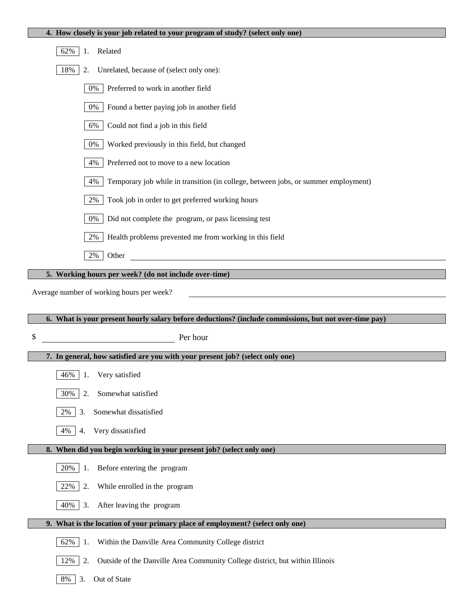| 62%<br>Related<br>1.                                                                                  |
|-------------------------------------------------------------------------------------------------------|
| 18%<br>Unrelated, because of (select only one):<br>2.                                                 |
| Preferred to work in another field<br>0%                                                              |
| 0%<br>Found a better paying job in another field                                                      |
| 6%<br>Could not find a job in this field                                                              |
| 0%<br>Worked previously in this field, but changed                                                    |
| 4%<br>Preferred not to move to a new location                                                         |
| 4%<br>Temporary job while in transition (in college, between jobs, or summer employment)              |
| 2%<br>Took job in order to get preferred working hours                                                |
| 0%<br>Did not complete the program, or pass licensing test                                            |
| 2%<br>Health problems prevented me from working in this field                                         |
| $2\%$<br>Other                                                                                        |
| 5. Working hours per week? (do not include over-time)                                                 |
| Average number of working hours per week?                                                             |
|                                                                                                       |
|                                                                                                       |
| 6. What is your present hourly salary before deductions? (include commissions, but not over-time pay) |
| \$<br>Per hour                                                                                        |
| 7. In general, how satisfied are you with your present job? (select only one)                         |
| Very satisfied<br>46%<br>1.                                                                           |
| 2.<br>Somewhat satisfied<br>30%                                                                       |
| Somewhat dissatisfied<br>2%<br>3.                                                                     |
| Very dissatisfied<br>4%<br>4.                                                                         |
| 8. When did you begin working in your present job? (select only one)                                  |
| Before entering the program<br>20%<br>1.                                                              |
| 2.<br>22%<br>While enrolled in the program                                                            |
| 40%<br>3.<br>After leaving the program                                                                |
| 9. What is the location of your primary place of employment? (select only one)                        |
| Within the Danville Area Community College district<br>62%<br>1.                                      |
| 2.<br>Outside of the Danville Area Community College district, but within Illinois<br>12%             |

**4. How closely is your job related to your program of study? (select only one)**